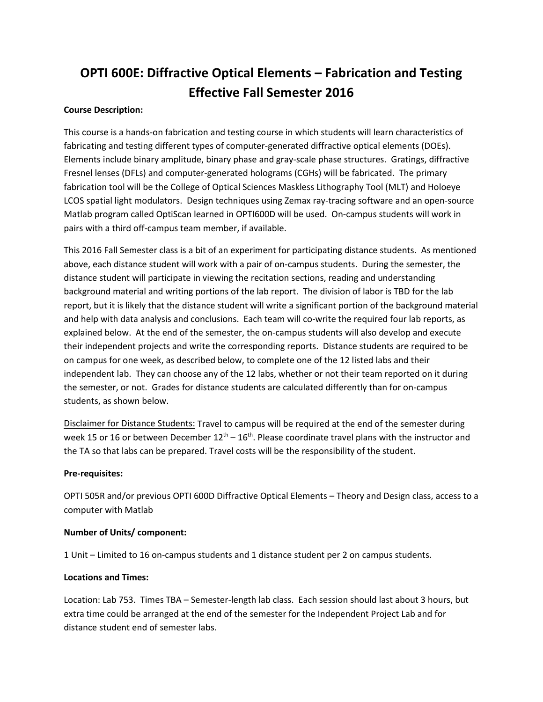# **OPTI 600E: Diffractive Optical Elements – Fabrication and Testing Effective Fall Semester 2016**

### **Course Description:**

This course is a hands-on fabrication and testing course in which students will learn characteristics of fabricating and testing different types of computer-generated diffractive optical elements (DOEs). Elements include binary amplitude, binary phase and gray-scale phase structures. Gratings, diffractive Fresnel lenses (DFLs) and computer-generated holograms (CGHs) will be fabricated. The primary fabrication tool will be the College of Optical Sciences Maskless Lithography Tool (MLT) and Holoeye LCOS spatial light modulators. Design techniques using Zemax ray-tracing software and an open-source Matlab program called OptiScan learned in OPTI600D will be used. On-campus students will work in pairs with a third off-campus team member, if available.

This 2016 Fall Semester class is a bit of an experiment for participating distance students. As mentioned above, each distance student will work with a pair of on-campus students. During the semester, the distance student will participate in viewing the recitation sections, reading and understanding background material and writing portions of the lab report. The division of labor is TBD for the lab report, but it is likely that the distance student will write a significant portion of the background material and help with data analysis and conclusions. Each team will co-write the required four lab reports, as explained below. At the end of the semester, the on-campus students will also develop and execute their independent projects and write the corresponding reports. Distance students are required to be on campus for one week, as described below, to complete one of the 12 listed labs and their independent lab. They can choose any of the 12 labs, whether or not their team reported on it during the semester, or not. Grades for distance students are calculated differently than for on-campus students, as shown below.

Disclaimer for Distance Students: Travel to campus will be required at the end of the semester during week 15 or 16 or between December  $12<sup>th</sup> - 16<sup>th</sup>$ . Please coordinate travel plans with the instructor and the TA so that labs can be prepared. Travel costs will be the responsibility of the student.

#### **Pre-requisites:**

OPTI 505R and/or previous OPTI 600D Diffractive Optical Elements – Theory and Design class, access to a computer with Matlab

#### **Number of Units/ component:**

1 Unit – Limited to 16 on-campus students and 1 distance student per 2 on campus students.

#### **Locations and Times:**

Location: Lab 753. Times TBA – Semester-length lab class. Each session should last about 3 hours, but extra time could be arranged at the end of the semester for the Independent Project Lab and for distance student end of semester labs.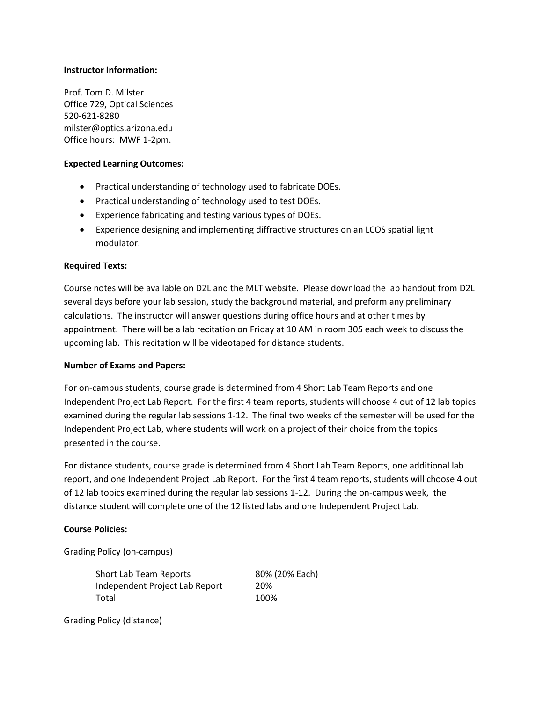#### **Instructor Information:**

Prof. Tom D. Milster Office 729, Optical Sciences 520-621-8280 milster@optics.arizona.edu Office hours: MWF 1-2pm.

#### **Expected Learning Outcomes:**

- Practical understanding of technology used to fabricate DOEs.
- Practical understanding of technology used to test DOEs.
- Experience fabricating and testing various types of DOEs.
- Experience designing and implementing diffractive structures on an LCOS spatial light modulator.

#### **Required Texts:**

Course notes will be available on D2L and the MLT website. Please download the lab handout from D2L several days before your lab session, study the background material, and preform any preliminary calculations. The instructor will answer questions during office hours and at other times by appointment. There will be a lab recitation on Friday at 10 AM in room 305 each week to discuss the upcoming lab. This recitation will be videotaped for distance students.

#### **Number of Exams and Papers:**

For on-campus students, course grade is determined from 4 Short Lab Team Reports and one Independent Project Lab Report. For the first 4 team reports, students will choose 4 out of 12 lab topics examined during the regular lab sessions 1-12. The final two weeks of the semester will be used for the Independent Project Lab, where students will work on a project of their choice from the topics presented in the course.

For distance students, course grade is determined from 4 Short Lab Team Reports, one additional lab report, and one Independent Project Lab Report. For the first 4 team reports, students will choose 4 out of 12 lab topics examined during the regular lab sessions 1-12. During the on-campus week, the distance student will complete one of the 12 listed labs and one Independent Project Lab.

#### **Course Policies:**

#### Grading Policy (on-campus)

| Short Lab Team Reports         | 80% (20% Each) |
|--------------------------------|----------------|
| Independent Project Lab Report | 20%            |
| Total                          | 100%           |

Grading Policy (distance)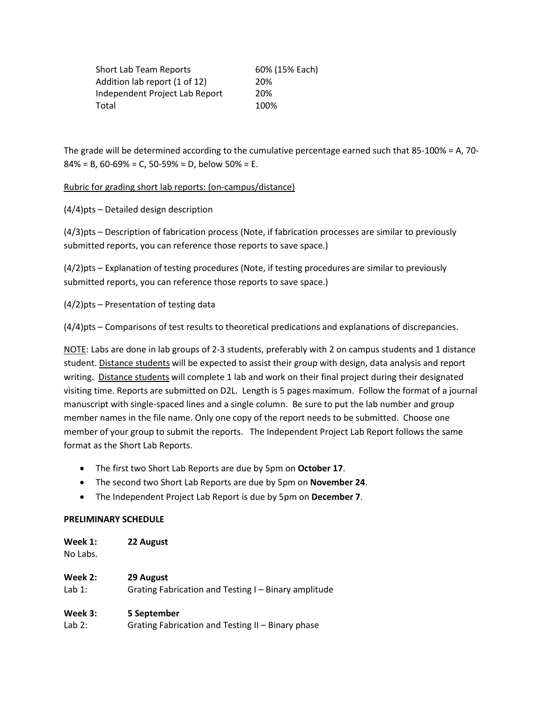| Short Lab Team Reports         | 60% (15% Each) |
|--------------------------------|----------------|
| Addition lab report (1 of 12)  | 20%            |
| Independent Project Lab Report | 20%            |
| Total                          | 100%           |

The grade will be determined according to the cumulative percentage earned such that 85-100% = A, 70-  $84\% = B$ , 60-69% = C, 50-59% = D, below 50% = E.

Rubric for grading short lab reports: (on-campus/distance)

(4/4)pts – Detailed design description

(4/3)pts – Description of fabrication process (Note, if fabrication processes are similar to previously submitted reports, you can reference those reports to save space.)

(4/2)pts – Explanation of testing procedures (Note, if testing procedures are similar to previously submitted reports, you can reference those reports to save space.)

(4/2)pts – Presentation of testing data

(4/4)pts – Comparisons of test results to theoretical predications and explanations of discrepancies.

NOTE: Labs are done in lab groups of 2-3 students, preferably with 2 on campus students and 1 distance student. Distance students will be expected to assist their group with design, data analysis and report writing. Distance students will complete 1 lab and work on their final project during their designated visiting time. Reports are submitted on D2L. Length is 5 pages maximum. Follow the format of a journal manuscript with single-spaced lines and a single column. Be sure to put the lab number and group member names in the file name. Only one copy of the report needs to be submitted. Choose one member of your group to submit the reports. The Independent Project Lab Report follows the same format as the Short Lab Reports.

- The first two Short Lab Reports are due by 5pm on **October 17**.
- The second two Short Lab Reports are due by 5pm on **November 24**.
- The Independent Project Lab Report is due by 5pm on **December 7**.

#### **PRELIMINARY SCHEDULE**

| Week 1:  | 22 August |
|----------|-----------|
| No Labs. |           |

| Week 2:  | 29 August                                            |
|----------|------------------------------------------------------|
| Lab $1:$ | Grating Fabrication and Testing I - Binary amplitude |

#### **Week 3: 5 September**

Lab 2: Grating Fabrication and Testing II – Binary phase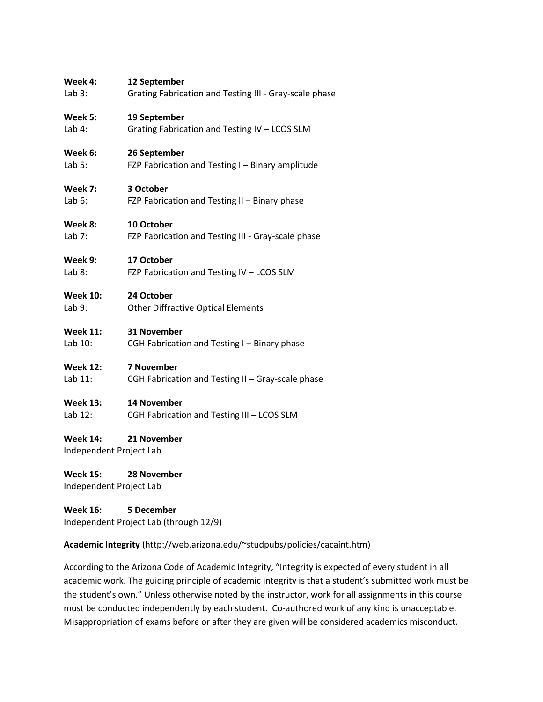# **Week 4: 12 September**  Lab 3: Grating Fabrication and Testing III - Gray-scale phase **Week 5: 19 September**  Lab 4: Grating Fabrication and Testing IV – LCOS SLM **Week 6: 26 September**  Lab 5: FZP Fabrication and Testing I – Binary amplitude **Week 7: 3 October**  Lab 6: FZP Fabrication and Testing II – Binary phase **Week 8: 10 October**  Lab 7: FZP Fabrication and Testing III - Gray-scale phase **Week 9: 17 October**  Lab 8: FZP Fabrication and Testing IV - LCOS SLM **Week 10: 24 October**

Lab 9: Other Diffractive Optical Elements

## **Week 11: 31 November**

Lab 10: CGH Fabrication and Testing I – Binary phase

#### **Week 12: 7 November**

Lab 11: CGH Fabrication and Testing II – Gray-scale phase

#### **Week 13: 14 November**

Lab 12: CGH Fabrication and Testing III – LCOS SLM

## **Week 14: 21 November**

Independent Project Lab

**Week 15: 28 November**

Independent Project Lab

**Week 16: 5 December** Independent Project Lab (through 12/9)

## **Academic Integrity** (http://web.arizona.edu/~studpubs/policies/cacaint.htm)

According to the Arizona Code of Academic Integrity, "Integrity is expected of every student in all academic work. The guiding principle of academic integrity is that a student's submitted work must be the student's own." Unless otherwise noted by the instructor, work for all assignments in this course must be conducted independently by each student. Co-authored work of any kind is unacceptable. Misappropriation of exams before or after they are given will be considered academics misconduct.